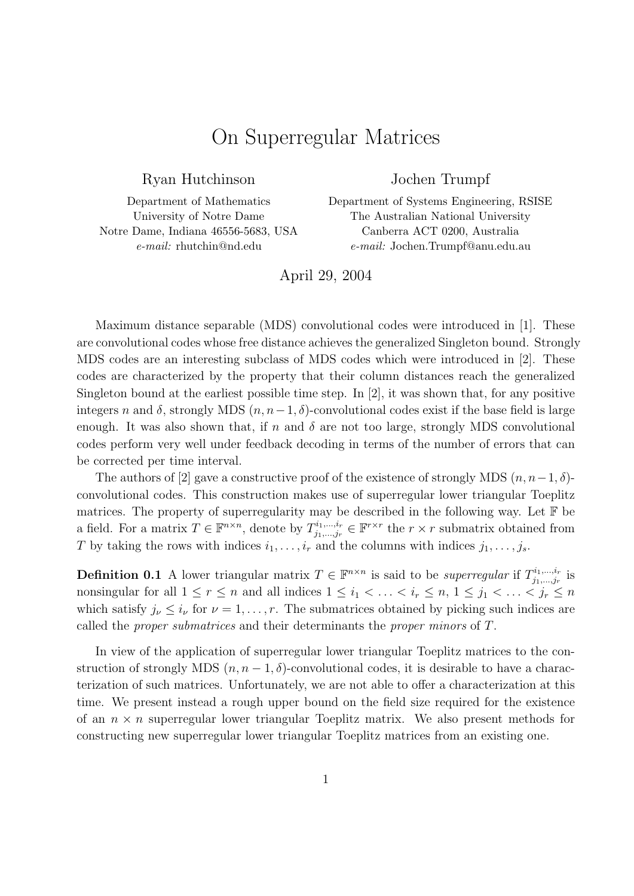## On Superregular Matrices

Ryan Hutchinson

Department of Mathematics University of Notre Dame Notre Dame, Indiana 46556-5683, USA e-mail: rhutchin@nd.edu

## Jochen Trumpf

Department of Systems Engineering, RSISE The Australian National University Canberra ACT 0200, Australia e-mail: Jochen.Trumpf@anu.edu.au

April 29, 2004

Maximum distance separable (MDS) convolutional codes were introduced in [1]. These are convolutional codes whose free distance achieves the generalized Singleton bound. Strongly MDS codes are an interesting subclass of MDS codes which were introduced in [2]. These codes are characterized by the property that their column distances reach the generalized Singleton bound at the earliest possible time step. In  $[2]$ , it was shown that, for any positive integers n and  $\delta$ , strongly MDS  $(n, n-1, \delta)$ -convolutional codes exist if the base field is large enough. It was also shown that, if n and  $\delta$  are not too large, strongly MDS convolutional codes perform very well under feedback decoding in terms of the number of errors that can be corrected per time interval.

The authors of [2] gave a constructive proof of the existence of strongly MDS  $(n, n-1, \delta)$ convolutional codes. This construction makes use of superregular lower triangular Toeplitz matrices. The property of superregularity may be described in the following way. Let  $\mathbb F$  be a field. For a matrix  $T \in \mathbb{F}^{n \times n}$ , denote by  $T_{i_1,\dots,i_r}^{i_1,\dots,i_r}$  $j_1, \ldots, j_r \in \mathbb{F}^{r \times r}$  the  $r \times r$  submatrix obtained from T by taking the rows with indices  $i_1, \ldots, i_r$  and the columns with indices  $j_1, \ldots, j_s$ .

**Definition 0.1** A lower triangular matrix  $T \in \mathbb{F}^{n \times n}$  is said to be *superregular* if  $T_{i_1,\ldots,i_r}^{i_1,\ldots,i_r}$  $j_{1},...,j_{r}^{i_{1}},...,j_{r}^{i_{r}}$  is nonsingular for all  $1 \le r \le n$  and all indices  $1 \le i_1 < \ldots < i_r \le n, 1 \le j_1 < \ldots < j_r \le n$ which satisfy  $j_{\nu} \leq i_{\nu}$  for  $\nu = 1, \ldots, r$ . The submatrices obtained by picking such indices are called the proper submatrices and their determinants the proper minors of T.

In view of the application of superregular lower triangular Toeplitz matrices to the construction of strongly MDS  $(n, n-1, \delta)$ -convolutional codes, it is desirable to have a characterization of such matrices. Unfortunately, we are not able to offer a characterization at this time. We present instead a rough upper bound on the field size required for the existence of an  $n \times n$  superregular lower triangular Toeplitz matrix. We also present methods for constructing new superregular lower triangular Toeplitz matrices from an existing one.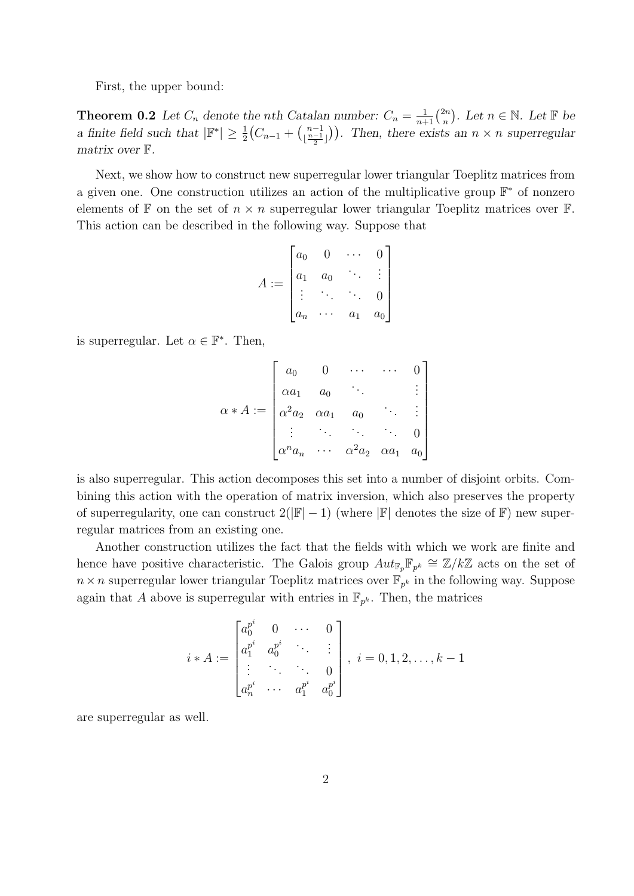First, the upper bound:

**Theorem 0.2** Let  $C_n$  denote the nth Catalan number:  $C_n = \frac{1}{n+1} \binom{2n}{n}$  $\binom{2n}{n}$ . Let  $n \in \mathbb{N}$ . Let  $\mathbb F$  be a finite field such that  $|\mathbb{F}^*| \geq \frac{1}{2}(C_{n-1} + \binom{n-1}{n-1}$  $\binom{n-1}{\lfloor \frac{n-1}{2} \rfloor}$ . Then, there exists an  $n \times n$  superregular matrix over F.

Next, we show how to construct new superregular lower triangular Toeplitz matrices from a given one. One construction utilizes an action of the multiplicative group  $\mathbb{F}^*$  of nonzero elements of  $\mathbb F$  on the set of  $n \times n$  superregular lower triangular Toeplitz matrices over  $\mathbb F$ . This action can be described in the following way. Suppose that

$$
A := \begin{bmatrix} a_0 & 0 & \cdots & 0 \\ a_1 & a_0 & \ddots & \vdots \\ \vdots & \ddots & \ddots & 0 \\ a_n & \cdots & a_1 & a_0 \end{bmatrix}
$$

is superregular. Let  $\alpha \in \mathbb{F}^*$ . Then,

$$
\alpha * A := \begin{bmatrix} a_0 & 0 & \cdots & \cdots & 0 \\ \alpha a_1 & a_0 & & & \vdots \\ \alpha^2 a_2 & \alpha a_1 & a_0 & \cdots & \vdots \\ \vdots & \ddots & \ddots & \ddots & 0 \\ \alpha^n a_n & \cdots & \alpha^2 a_2 & \alpha a_1 & a_0 \end{bmatrix}
$$

is also superregular. This action decomposes this set into a number of disjoint orbits. Combining this action with the operation of matrix inversion, which also preserves the property of superregularity, one can construct  $2(|\mathbb{F}|-1)$  (where  $|\mathbb{F}|$  denotes the size of  $\mathbb{F}$ ) new superregular matrices from an existing one.

Another construction utilizes the fact that the fields with which we work are finite and hence have positive characteristic. The Galois group  $Aut_{\mathbb{F}_p} \mathbb{F}_{p^k} \cong \mathbb{Z}/k\mathbb{Z}$  acts on the set of  $n \times n$  superregular lower triangular Toeplitz matrices over  $\mathbb{F}_{p^k}$  in the following way. Suppose again that A above is superregular with entries in  $\mathbb{F}_{p^k}$ . Then, the matrices

$$
i * A := \begin{bmatrix} a_0^{p^i} & 0 & \cdots & 0 \\ a_1^{p^i} & a_0^{p^i} & \ddots & \vdots \\ \vdots & \ddots & \ddots & 0 \\ a_n^{p^i} & \cdots & a_1^{p^i} & a_0^{p^i} \end{bmatrix}, i = 0, 1, 2, \ldots, k - 1
$$

are superregular as well.